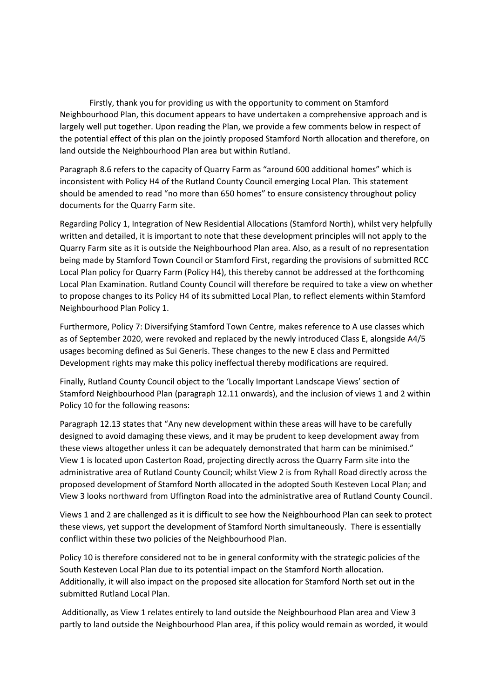Firstly, thank you for providing us with the opportunity to comment on Stamford Neighbourhood Plan, this document appears to have undertaken a comprehensive approach and is largely well put together. Upon reading the Plan, we provide a few comments below in respect of the potential effect of this plan on the jointly proposed Stamford North allocation and therefore, on land outside the Neighbourhood Plan area but within Rutland.

Paragraph 8.6 refers to the capacity of Quarry Farm as "around 600 additional homes" which is inconsistent with Policy H4 of the Rutland County Council emerging Local Plan. This statement should be amended to read "no more than 650 homes" to ensure consistency throughout policy documents for the Quarry Farm site.

Regarding Policy 1, Integration of New Residential Allocations (Stamford North), whilst very helpfully written and detailed, it is important to note that these development principles will not apply to the Quarry Farm site as it is outside the Neighbourhood Plan area. Also, as a result of no representation being made by Stamford Town Council or Stamford First, regarding the provisions of submitted RCC Local Plan policy for Quarry Farm (Policy H4), this thereby cannot be addressed at the forthcoming Local Plan Examination. Rutland County Council will therefore be required to take a view on whether to propose changes to its Policy H4 of its submitted Local Plan, to reflect elements within Stamford Neighbourhood Plan Policy 1.

Furthermore, Policy 7: Diversifying Stamford Town Centre, makes reference to A use classes which as of September 2020, were revoked and replaced by the newly introduced Class E, alongside A4/5 usages becoming defined as Sui Generis. These changes to the new E class and Permitted Development rights may make this policy ineffectual thereby modifications are required.

Finally, Rutland County Council object to the 'Locally Important Landscape Views' section of Stamford Neighbourhood Plan (paragraph 12.11 onwards), and the inclusion of views 1 and 2 within Policy 10 for the following reasons:

Paragraph 12.13 states that "Any new development within these areas will have to be carefully designed to avoid damaging these views, and it may be prudent to keep development away from these views altogether unless it can be adequately demonstrated that harm can be minimised." View 1 is located upon Casterton Road, projecting directly across the Quarry Farm site into the administrative area of Rutland County Council; whilst View 2 is from Ryhall Road directly across the proposed development of Stamford North allocated in the adopted South Kesteven Local Plan; and View 3 looks northward from Uffington Road into the administrative area of Rutland County Council.

Views 1 and 2 are challenged as it is difficult to see how the Neighbourhood Plan can seek to protect these views, yet support the development of Stamford North simultaneously. There is essentially conflict within these two policies of the Neighbourhood Plan.

Policy 10 is therefore considered not to be in general conformity with the strategic policies of the South Kesteven Local Plan due to its potential impact on the Stamford North allocation. Additionally, it will also impact on the proposed site allocation for Stamford North set out in the submitted Rutland Local Plan.

Additionally, as View 1 relates entirely to land outside the Neighbourhood Plan area and View 3 partly to land outside the Neighbourhood Plan area, if this policy would remain as worded, it would